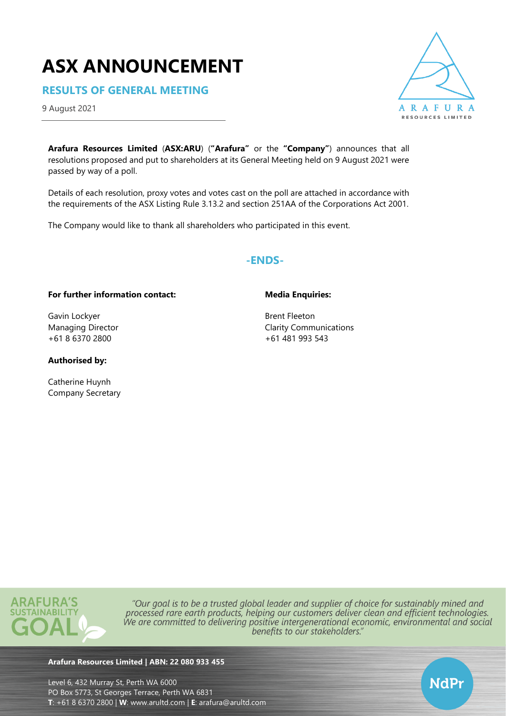# **ASX ANNOUNCEMENT**

**RESULTS OF GENERAL MEETING**

9 August 2021



NdPr

**Arafura Resources Limited** (**ASX:ARU**) (**"Arafura"** or the **"Company"**) announces that all resolutions proposed and put to shareholders at its General Meeting held on 9 August 2021 were passed by way of a poll.

Details of each resolution, proxy votes and votes cast on the poll are attached in accordance with the requirements of the ASX Listing Rule 3.13.2 and section 251AA of the Corporations Act 2001.

The Company would like to thank all shareholders who participated in this event.

## **-ENDS-**

### **For further information contact:**

Gavin Lockyer Managing Director +61 8 6370 2800

## **Authorised by:**

Catherine Huynh Company Secretary **Media Enquiries:**

Brent Fleeton Clarity Communications +61 481 993 543



"Our goal is to be a trusted global leader and supplier of choice for sustainably mined and processed rare earth products, helping our customers deliver clean and efficient technologies. We are committed to delivering positive intergenerational economic, environmental and social benefits to our stakeholders."

#### **Arafura Resources Limited | ABN: 22 080 933 455**

Level 6, 432 Murray St, Perth WA 6000 PO Box 5773, St Georges Terrace, Perth WA 6831 **T**: +61 8 6370 2800 | **W**: [www.arultd.com](http://www.arultd.com/) | **E**: [arafura@arultd.com](mailto:arafura@arultd.com)